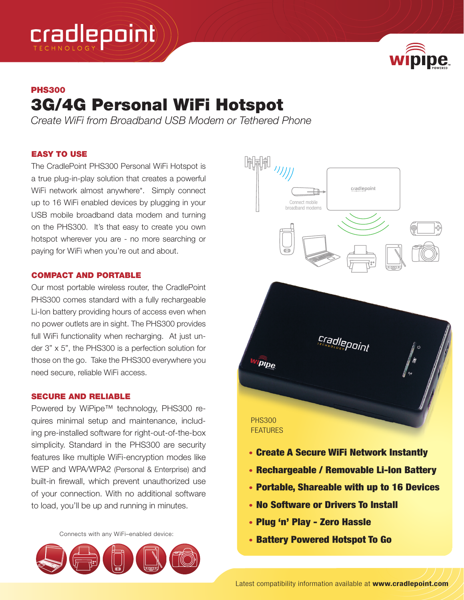



# PHS300 3G/4G Personal WiFi Hotspot

*Create WiFi from Broadband USB Modem or Tethered Phone*

### EASY TO USE

The CradlePoint PHS300 Personal WiFi Hotspot is a true plug-in-play solution that creates a powerful WiFi network almost anywhere\*. Simply connect up to 16 WiFi enabled devices by plugging in your USB mobile broadband data modem and turning on the PHS300. It's that easy to create you own hotspot wherever you are - no more searching or paying for WiFi when you're out and about.

## COMPACT AND PORTABLE

Our most portable wireless router, the CradlePoint PHS300 comes standard with a fully rechargeable Li-Ion battery providing hours of access even when no power outlets are in sight. The PHS300 provides full WiFi functionality when recharging. At just under 3" x 5", the PHS300 is a perfection solution for those on the go. Take the PHS300 everywhere you need secure, reliable WiFi access.

### SECURE AND RELIABLE

Powered by WiPipe™ technology, PHS300 requires minimal setup and maintenance, including pre-installed software for right-out-of-the-box simplicity. Standard in the PHS300 are security features like multiple WiFi-encryption modes like WEP and WPA/WPA2 (Personal & Enterprise) and built-in firewall, which prevent unauthorized use of your connection. With no additional software to load, you'll be up and running in minutes.

Connects with any WiFi–enabled device:





- • No Software or Drivers To Install
- • Plug 'n' Play Zero Hassle
- • Battery Powered Hotspot To Go